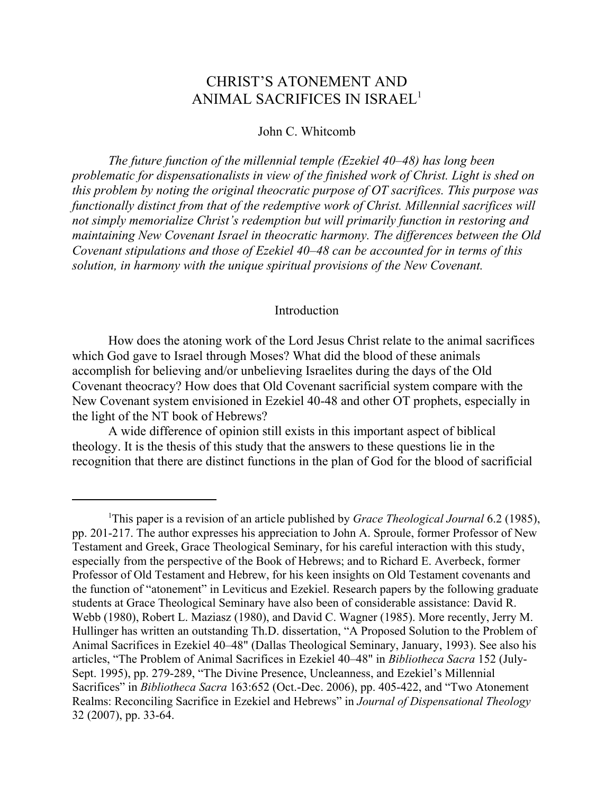# CHRIST'S ATONEMENT AND ANIMAL SACRIFICES IN ISRAEL<sup>1</sup>

#### John C. Whitcomb

*The future function of the millennial temple (Ezekiel 40–48) has long been problematic for dispensationalists in view of the finished work of Christ. Light is shed on this problem by noting the original theocratic purpose of OT sacrifices. This purpose was functionally distinct from that of the redemptive work of Christ. Millennial sacrifices will not simply memorialize Christ's redemption but will primarily function in restoring and maintaining New Covenant Israel in theocratic harmony. The differences between the Old Covenant stipulations and those of Ezekiel 40–48 can be accounted for in terms of this solution, in harmony with the unique spiritual provisions of the New Covenant.*

#### Introduction

How does the atoning work of the Lord Jesus Christ relate to the animal sacrifices which God gave to Israel through Moses? What did the blood of these animals accomplish for believing and/or unbelieving Israelites during the days of the Old Covenant theocracy? How does that Old Covenant sacrificial system compare with the New Covenant system envisioned in Ezekiel 40-48 and other OT prophets, especially in the light of the NT book of Hebrews?

A wide difference of opinion still exists in this important aspect of biblical theology. It is the thesis of this study that the answers to these questions lie in the recognition that there are distinct functions in the plan of God for the blood of sacrificial

<sup>&</sup>lt;sup>1</sup>This paper is a revision of an article published by *Grace Theological Journal* 6.2 (1985), pp. 201-217. The author expresses his appreciation to John A. Sproule, former Professor of New Testament and Greek, Grace Theological Seminary, for his careful interaction with this study, especially from the perspective of the Book of Hebrews; and to Richard E. Averbeck, former Professor of Old Testament and Hebrew, for his keen insights on Old Testament covenants and the function of "atonement" in Leviticus and Ezekiel. Research papers by the following graduate students at Grace Theological Seminary have also been of considerable assistance: David R. Webb (1980), Robert L. Maziasz (1980), and David C. Wagner (1985). More recently, Jerry M. Hullinger has written an outstanding Th.D. dissertation, "A Proposed Solution to the Problem of Animal Sacrifices in Ezekiel 40–48" (Dallas Theological Seminary, January, 1993). See also his articles, "The Problem of Animal Sacrifices in Ezekiel 40–48" in *Bibliotheca Sacra* 152 (July-Sept. 1995), pp. 279-289, "The Divine Presence, Uncleanness, and Ezekiel's Millennial Sacrifices" in *Bibliotheca Sacra* 163:652 (Oct.-Dec. 2006), pp. 405-422, and "Two Atonement Realms: Reconciling Sacrifice in Ezekiel and Hebrews" in *Journal of Dispensational Theology* 32 (2007), pp. 33-64.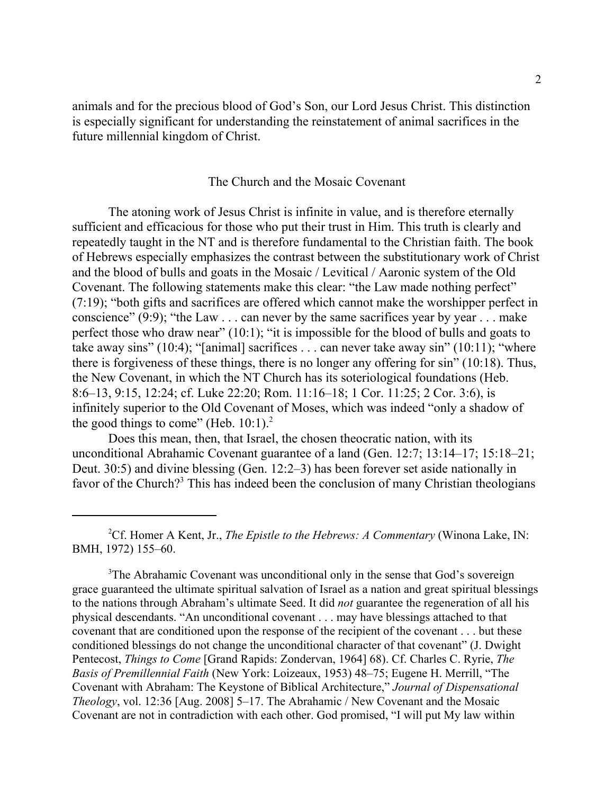animals and for the precious blood of God's Son, our Lord Jesus Christ. This distinction is especially significant for understanding the reinstatement of animal sacrifices in the future millennial kingdom of Christ.

### The Church and the Mosaic Covenant

The atoning work of Jesus Christ is infinite in value, and is therefore eternally sufficient and efficacious for those who put their trust in Him. This truth is clearly and repeatedly taught in the NT and is therefore fundamental to the Christian faith. The book of Hebrews especially emphasizes the contrast between the substitutionary work of Christ and the blood of bulls and goats in the Mosaic / Levitical / Aaronic system of the Old Covenant. The following statements make this clear: "the Law made nothing perfect" (7:19); "both gifts and sacrifices are offered which cannot make the worshipper perfect in conscience"  $(9:9)$ ; "the Law . . . can never by the same sacrifices year by year . . . make perfect those who draw near" (10:1); "it is impossible for the blood of bulls and goats to take away sins"  $(10:4)$ ; "[animal] sacrifices ... can never take away sin"  $(10:11)$ ; "where there is forgiveness of these things, there is no longer any offering for sin" (10:18). Thus, the New Covenant, in which the NT Church has its soteriological foundations (Heb. 8:6–13, 9:15, 12:24; cf. Luke 22:20; Rom. 11:16–18; 1 Cor. 11:25; 2 Cor. 3:6), is infinitely superior to the Old Covenant of Moses, which was indeed "only a shadow of the good things to come" (Heb. 10:1).<sup>2</sup>

Does this mean, then, that Israel, the chosen theocratic nation, with its unconditional Abrahamic Covenant guarantee of a land (Gen. 12:7; 13:14–17; 15:18–21; Deut. 30:5) and divine blessing (Gen. 12:2–3) has been forever set aside nationally in favor of the Church?<sup>3</sup> This has indeed been the conclusion of many Christian theologians

2 Cf. Homer A Kent, Jr., *The Epistle to the Hebrews: A Commentary* (Winona Lake, IN: BMH, 1972) 155–60.

<sup>3</sup>The Abrahamic Covenant was unconditional only in the sense that God's sovereign grace guaranteed the ultimate spiritual salvation of Israel as a nation and great spiritual blessings to the nations through Abraham's ultimate Seed. It did *not* guarantee the regeneration of all his physical descendants. "An unconditional covenant . . . may have blessings attached to that covenant that are conditioned upon the response of the recipient of the covenant . . . but these conditioned blessings do not change the unconditional character of that covenant" (J. Dwight Pentecost, *Things to Come* [Grand Rapids: Zondervan, 1964] 68). Cf. Charles C. Ryrie, *The Basis of Premillennial Faith* (New York: Loizeaux, 1953) 48–75; Eugene H. Merrill, "The Covenant with Abraham: The Keystone of Biblical Architecture," *Journal of Dispensational Theology*, vol. 12:36 [Aug. 2008] 5–17. The Abrahamic / New Covenant and the Mosaic Covenant are not in contradiction with each other. God promised, "I will put My law within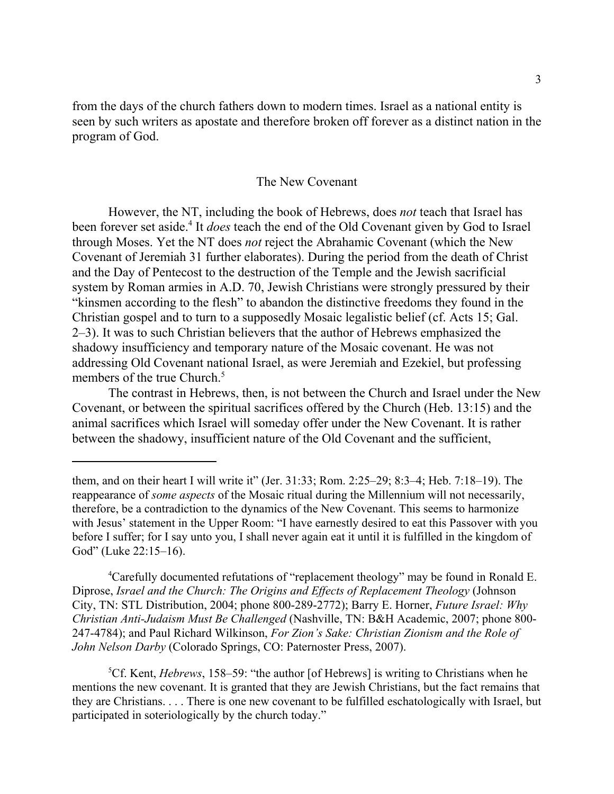from the days of the church fathers down to modern times. Israel as a national entity is seen by such writers as apostate and therefore broken off forever as a distinct nation in the program of God.

#### The New Covenant

However, the NT, including the book of Hebrews, does *not* teach that Israel has been forever set aside.<sup>4</sup> It *does* teach the end of the Old Covenant given by God to Israel through Moses. Yet the NT does *not* reject the Abrahamic Covenant (which the New Covenant of Jeremiah 31 further elaborates). During the period from the death of Christ and the Day of Pentecost to the destruction of the Temple and the Jewish sacrificial system by Roman armies in A.D. 70, Jewish Christians were strongly pressured by their "kinsmen according to the flesh" to abandon the distinctive freedoms they found in the Christian gospel and to turn to a supposedly Mosaic legalistic belief (cf. Acts 15; Gal. 2–3). It was to such Christian believers that the author of Hebrews emphasized the shadowy insufficiency and temporary nature of the Mosaic covenant. He was not addressing Old Covenant national Israel, as were Jeremiah and Ezekiel, but professing members of the true Church.<sup>5</sup>

The contrast in Hebrews, then, is not between the Church and Israel under the New Covenant, or between the spiritual sacrifices offered by the Church (Heb. 13:15) and the animal sacrifices which Israel will someday offer under the New Covenant. It is rather between the shadowy, insufficient nature of the Old Covenant and the sufficient,

<sup>4</sup>Carefully documented refutations of "replacement theology" may be found in Ronald E. Diprose, *Israel and the Church: The Origins and Effects of Replacement Theology* (Johnson City, TN: STL Distribution, 2004; phone 800-289-2772); Barry E. Horner, *Future Israel: Why Christian Anti-Judaism Must Be Challenged* (Nashville, TN: B&H Academic, 2007; phone 800- 247-4784); and Paul Richard Wilkinson, *For Zion's Sake: Christian Zionism and the Role of John Nelson Darby* (Colorado Springs, CO: Paternoster Press, 2007).

<sup>5</sup>Cf. Kent, *Hebrews*, 158–59: "the author [of Hebrews] is writing to Christians when he mentions the new covenant. It is granted that they are Jewish Christians, but the fact remains that they are Christians. . . . There is one new covenant to be fulfilled eschatologically with Israel, but participated in soteriologically by the church today."

them, and on their heart I will write it" (Jer. 31:33; Rom. 2:25–29; 8:3–4; Heb. 7:18–19). The reappearance of *some aspects* of the Mosaic ritual during the Millennium will not necessarily, therefore, be a contradiction to the dynamics of the New Covenant. This seems to harmonize with Jesus' statement in the Upper Room: "I have earnestly desired to eat this Passover with you before I suffer; for I say unto you, I shall never again eat it until it is fulfilled in the kingdom of God" (Luke 22:15–16).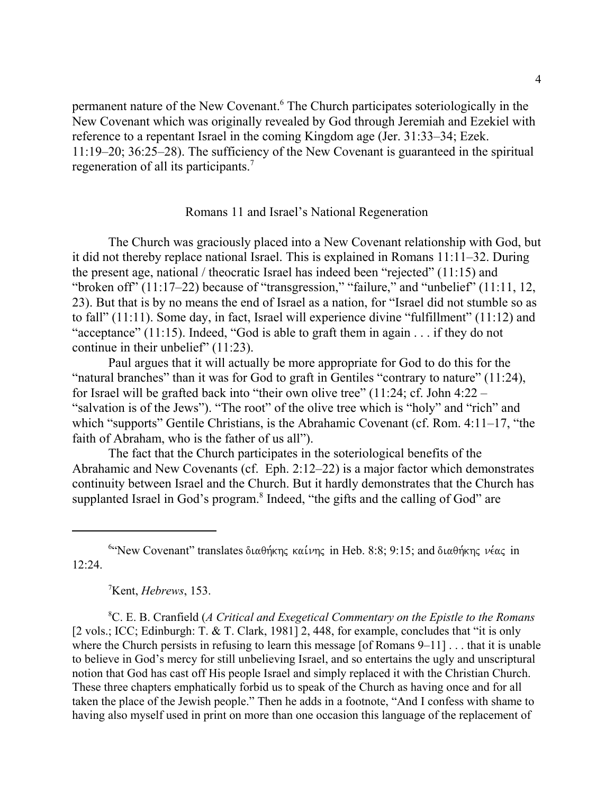permanent nature of the New Covenant.<sup>6</sup> The Church participates soteriologically in the New Covenant which was originally revealed by God through Jeremiah and Ezekiel with reference to a repentant Israel in the coming Kingdom age (Jer. 31:33–34; Ezek. 11:19–20; 36:25–28). The sufficiency of the New Covenant is guaranteed in the spiritual regeneration of all its participants.<sup>7</sup>

#### Romans 11 and Israel's National Regeneration

The Church was graciously placed into a New Covenant relationship with God, but it did not thereby replace national Israel. This is explained in Romans 11:11–32. During the present age, national / theocratic Israel has indeed been "rejected" (11:15) and "broken off" (11:17–22) because of "transgression," "failure," and "unbelief" (11:11, 12, 23). But that is by no means the end of Israel as a nation, for "Israel did not stumble so as to fall" (11:11). Some day, in fact, Israel will experience divine "fulfillment" (11:12) and "acceptance" (11:15). Indeed, "God is able to graft them in again . . . if they do not continue in their unbelief" (11:23).

Paul argues that it will actually be more appropriate for God to do this for the "natural branches" than it was for God to graft in Gentiles "contrary to nature" (11:24), for Israel will be grafted back into "their own olive tree" (11:24; cf. John 4:22 – "salvation is of the Jews"). "The root" of the olive tree which is "holy" and "rich" and which "supports" Gentile Christians, is the Abrahamic Covenant (cf. Rom. 4:11–17, "the faith of Abraham, who is the father of us all").

The fact that the Church participates in the soteriological benefits of the Abrahamic and New Covenants (cf. Eph. 2:12–22) is a major factor which demonstrates continuity between Israel and the Church. But it hardly demonstrates that the Church has supplanted Israel in God's program.<sup>8</sup> Indeed, "the gifts and the calling of God" are

<sup>6</sup> New Covenant" translates διαθήκης καίνης in Heb. 8:8; 9:15; and διαθήκης νέας in 12:24.

7 Kent, *Hebrews*, 153.

8 C. E. B. Cranfield (*A Critical and Exegetical Commentary on the Epistle to the Romans* [2 vols.; ICC; Edinburgh: T. & T. Clark, 1981] 2, 448, for example, concludes that "it is only where the Church persists in refusing to learn this message [of Romans 9–11] ... that it is unable to believe in God's mercy for still unbelieving Israel, and so entertains the ugly and unscriptural notion that God has cast off His people Israel and simply replaced it with the Christian Church. These three chapters emphatically forbid us to speak of the Church as having once and for all taken the place of the Jewish people." Then he adds in a footnote, "And I confess with shame to having also myself used in print on more than one occasion this language of the replacement of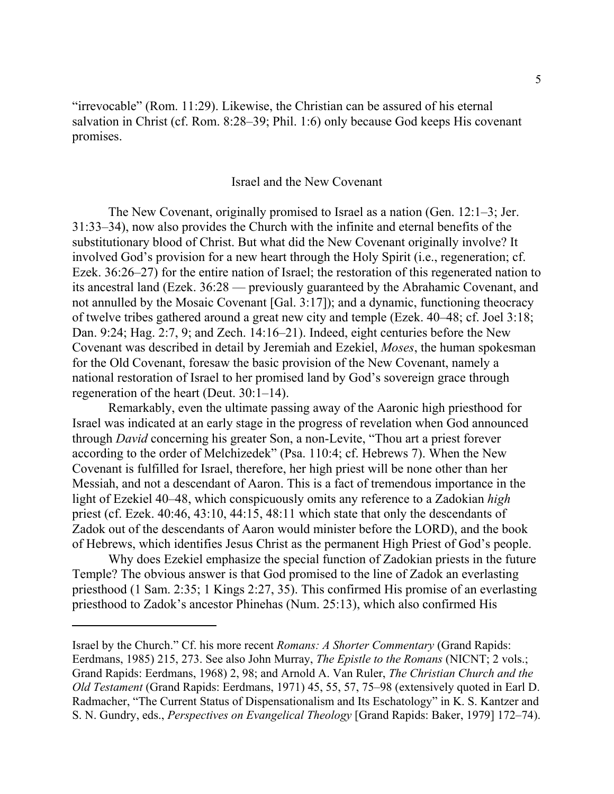"irrevocable" (Rom. 11:29). Likewise, the Christian can be assured of his eternal salvation in Christ (cf. Rom. 8:28–39; Phil. 1:6) only because God keeps His covenant promises.

#### Israel and the New Covenant

The New Covenant, originally promised to Israel as a nation (Gen. 12:1–3; Jer. 31:33–34), now also provides the Church with the infinite and eternal benefits of the substitutionary blood of Christ. But what did the New Covenant originally involve? It involved God's provision for a new heart through the Holy Spirit (i.e., regeneration; cf. Ezek. 36:26–27) for the entire nation of Israel; the restoration of this regenerated nation to its ancestral land (Ezek. 36:28 — previously guaranteed by the Abrahamic Covenant, and not annulled by the Mosaic Covenant [Gal. 3:17]); and a dynamic, functioning theocracy of twelve tribes gathered around a great new city and temple (Ezek. 40–48; cf. Joel 3:18; Dan. 9:24; Hag. 2:7, 9; and Zech. 14:16–21). Indeed, eight centuries before the New Covenant was described in detail by Jeremiah and Ezekiel, *Moses*, the human spokesman for the Old Covenant, foresaw the basic provision of the New Covenant, namely a national restoration of Israel to her promised land by God's sovereign grace through regeneration of the heart (Deut. 30:1–14).

Remarkably, even the ultimate passing away of the Aaronic high priesthood for Israel was indicated at an early stage in the progress of revelation when God announced through *David* concerning his greater Son, a non-Levite, "Thou art a priest forever according to the order of Melchizedek" (Psa. 110:4; cf. Hebrews 7). When the New Covenant is fulfilled for Israel, therefore, her high priest will be none other than her Messiah, and not a descendant of Aaron. This is a fact of tremendous importance in the light of Ezekiel 40–48, which conspicuously omits any reference to a Zadokian *high* priest (cf. Ezek. 40:46, 43:10, 44:15, 48:11 which state that only the descendants of Zadok out of the descendants of Aaron would minister before the LORD), and the book of Hebrews, which identifies Jesus Christ as the permanent High Priest of God's people.

Why does Ezekiel emphasize the special function of Zadokian priests in the future Temple? The obvious answer is that God promised to the line of Zadok an everlasting priesthood (1 Sam. 2:35; 1 Kings 2:27, 35). This confirmed His promise of an everlasting priesthood to Zadok's ancestor Phinehas (Num. 25:13), which also confirmed His

Israel by the Church." Cf. his more recent *Romans: A Shorter Commentary* (Grand Rapids: Eerdmans, 1985) 215, 273. See also John Murray, *The Epistle to the Romans* (NICNT; 2 vols.; Grand Rapids: Eerdmans, 1968) 2, 98; and Arnold A. Van Ruler, *The Christian Church and the Old Testament* (Grand Rapids: Eerdmans, 1971) 45, 55, 57, 75–98 (extensively quoted in Earl D. Radmacher, "The Current Status of Dispensationalism and Its Eschatology" in K. S. Kantzer and S. N. Gundry, eds., *Perspectives on Evangelical Theology* [Grand Rapids: Baker, 1979] 172–74).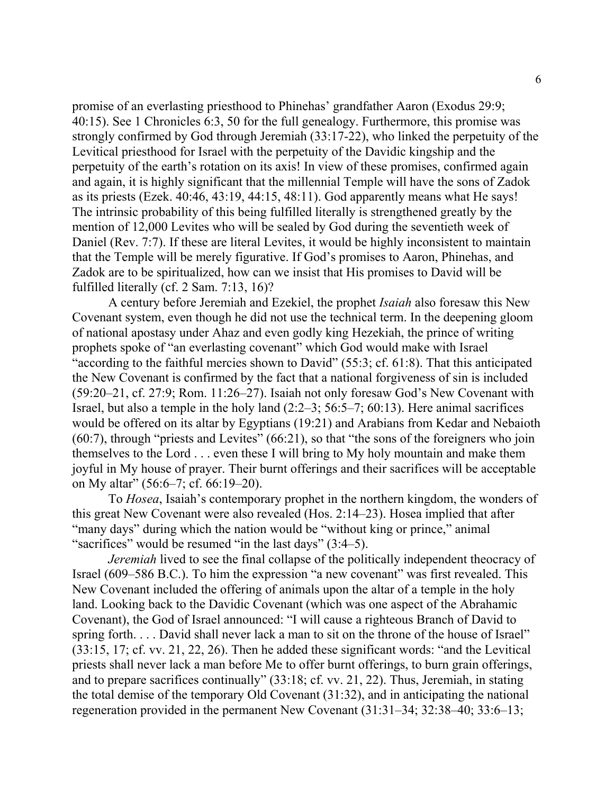promise of an everlasting priesthood to Phinehas' grandfather Aaron (Exodus 29:9; 40:15). See 1 Chronicles 6:3, 50 for the full genealogy. Furthermore, this promise was strongly confirmed by God through Jeremiah (33:17-22), who linked the perpetuity of the Levitical priesthood for Israel with the perpetuity of the Davidic kingship and the perpetuity of the earth's rotation on its axis! In view of these promises, confirmed again and again, it is highly significant that the millennial Temple will have the sons of Zadok as its priests (Ezek. 40:46, 43:19, 44:15, 48:11). God apparently means what He says! The intrinsic probability of this being fulfilled literally is strengthened greatly by the mention of 12,000 Levites who will be sealed by God during the seventieth week of Daniel (Rev. 7:7). If these are literal Levites, it would be highly inconsistent to maintain that the Temple will be merely figurative. If God's promises to Aaron, Phinehas, and Zadok are to be spiritualized, how can we insist that His promises to David will be fulfilled literally (cf. 2 Sam. 7:13, 16)?

A century before Jeremiah and Ezekiel, the prophet *Isaiah* also foresaw this New Covenant system, even though he did not use the technical term. In the deepening gloom of national apostasy under Ahaz and even godly king Hezekiah, the prince of writing prophets spoke of "an everlasting covenant" which God would make with Israel "according to the faithful mercies shown to David" (55:3; cf. 61:8). That this anticipated the New Covenant is confirmed by the fact that a national forgiveness of sin is included (59:20–21, cf. 27:9; Rom. 11:26–27). Isaiah not only foresaw God's New Covenant with Israel, but also a temple in the holy land (2:2–3; 56:5–7; 60:13). Here animal sacrifices would be offered on its altar by Egyptians (19:21) and Arabians from Kedar and Nebaioth (60:7), through "priests and Levites" (66:21), so that "the sons of the foreigners who join themselves to the Lord . . . even these I will bring to My holy mountain and make them joyful in My house of prayer. Their burnt offerings and their sacrifices will be acceptable on My altar" (56:6–7; cf. 66:19–20).

To *Hosea*, Isaiah's contemporary prophet in the northern kingdom, the wonders of this great New Covenant were also revealed (Hos. 2:14–23). Hosea implied that after "many days" during which the nation would be "without king or prince," animal "sacrifices" would be resumed "in the last days" (3:4–5).

*Jeremiah* lived to see the final collapse of the politically independent theocracy of Israel (609–586 B.C.). To him the expression "a new covenant" was first revealed. This New Covenant included the offering of animals upon the altar of a temple in the holy land. Looking back to the Davidic Covenant (which was one aspect of the Abrahamic Covenant), the God of Israel announced: "I will cause a righteous Branch of David to spring forth. . . . David shall never lack a man to sit on the throne of the house of Israel" (33:15, 17; cf. vv. 21, 22, 26). Then he added these significant words: "and the Levitical priests shall never lack a man before Me to offer burnt offerings, to burn grain offerings, and to prepare sacrifices continually" (33:18; cf. vv. 21, 22). Thus, Jeremiah, in stating the total demise of the temporary Old Covenant (31:32), and in anticipating the national regeneration provided in the permanent New Covenant (31:31–34; 32:38–40; 33:6–13;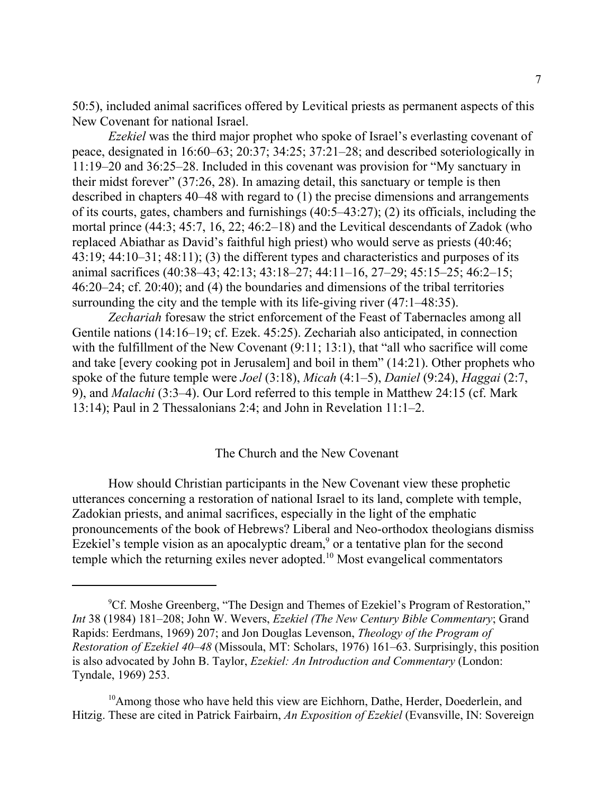50:5), included animal sacrifices offered by Levitical priests as permanent aspects of this New Covenant for national Israel.

*Ezekiel* was the third major prophet who spoke of Israel's everlasting covenant of peace, designated in 16:60–63; 20:37; 34:25; 37:21–28; and described soteriologically in 11:19–20 and 36:25–28. Included in this covenant was provision for "My sanctuary in their midst forever" (37:26, 28). In amazing detail, this sanctuary or temple is then described in chapters 40–48 with regard to (1) the precise dimensions and arrangements of its courts, gates, chambers and furnishings (40:5–43:27); (2) its officials, including the mortal prince (44:3; 45:7, 16, 22; 46:2–18) and the Levitical descendants of Zadok (who replaced Abiathar as David's faithful high priest) who would serve as priests (40:46; 43:19; 44:10–31; 48:11); (3) the different types and characteristics and purposes of its animal sacrifices (40:38–43; 42:13; 43:18–27; 44:11–16, 27–29; 45:15–25; 46:2–15; 46:20–24; cf. 20:40); and (4) the boundaries and dimensions of the tribal territories surrounding the city and the temple with its life-giving river (47:1–48:35).

*Zechariah* foresaw the strict enforcement of the Feast of Tabernacles among all Gentile nations (14:16–19; cf. Ezek. 45:25). Zechariah also anticipated, in connection with the fulfillment of the New Covenant (9:11; 13:1), that "all who sacrifice will come and take [every cooking pot in Jerusalem] and boil in them" (14:21). Other prophets who spoke of the future temple were *Joel* (3:18), *Micah* (4:1–5), *Daniel* (9:24), *Haggai* (2:7, 9), and *Malachi* (3:3–4). Our Lord referred to this temple in Matthew 24:15 (cf. Mark 13:14); Paul in 2 Thessalonians 2:4; and John in Revelation 11:1–2.

#### The Church and the New Covenant

How should Christian participants in the New Covenant view these prophetic utterances concerning a restoration of national Israel to its land, complete with temple, Zadokian priests, and animal sacrifices, especially in the light of the emphatic pronouncements of the book of Hebrews? Liberal and Neo-orthodox theologians dismiss Ezekiel's temple vision as an apocalyptic dream, $9$  or a tentative plan for the second temple which the returning exiles never adopted.<sup>10</sup> Most evangelical commentators

<sup>9</sup> Cf. Moshe Greenberg, "The Design and Themes of Ezekiel's Program of Restoration," *Int* 38 (1984) 181–208; John W. Wevers, *Ezekiel (The New Century Bible Commentary*; Grand Rapids: Eerdmans, 1969) 207; and Jon Douglas Levenson, *Theology of the Program of Restoration of Ezekiel 40–48* (Missoula, MT: Scholars, 1976) 161–63. Surprisingly, this position is also advocated by John B. Taylor, *Ezekiel: An Introduction and Commentary* (London: Tyndale, 1969) 253.

 $10$ Among those who have held this view are Eichhorn, Dathe, Herder, Doederlein, and Hitzig. These are cited in Patrick Fairbairn, *An Exposition of Ezekiel* (Evansville, IN: Sovereign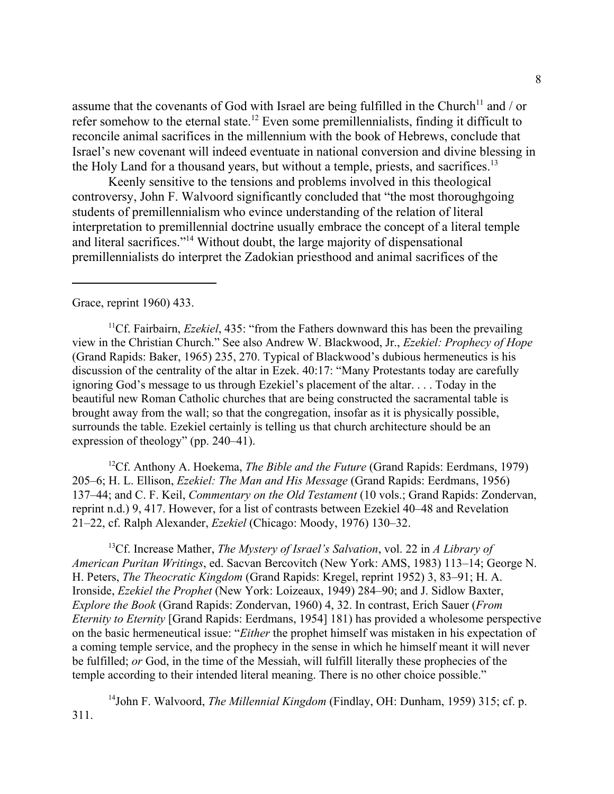assume that the covenants of God with Israel are being fulfilled in the Church<sup>11</sup> and / or refer somehow to the eternal state.<sup>12</sup> Even some premillennialists, finding it difficult to reconcile animal sacrifices in the millennium with the book of Hebrews, conclude that Israel's new covenant will indeed eventuate in national conversion and divine blessing in the Holy Land for a thousand years, but without a temple, priests, and sacrifices.<sup>13</sup>

Keenly sensitive to the tensions and problems involved in this theological controversy, John F. Walvoord significantly concluded that "the most thoroughgoing students of premillennialism who evince understanding of the relation of literal interpretation to premillennial doctrine usually embrace the concept of a literal temple and literal sacrifices."14 Without doubt, the large majority of dispensational premillennialists do interpret the Zadokian priesthood and animal sacrifices of the

Grace, reprint 1960) 433.

12Cf. Anthony A. Hoekema, *The Bible and the Future* (Grand Rapids: Eerdmans, 1979) 205–6; H. L. Ellison, *Ezekiel: The Man and His Message* (Grand Rapids: Eerdmans, 1956) 137–44; and C. F. Keil, *Commentary on the Old Testament* (10 vols.; Grand Rapids: Zondervan, reprint n.d.) 9, 417. However, for a list of contrasts between Ezekiel 40–48 and Revelation 21–22, cf. Ralph Alexander, *Ezekiel* (Chicago: Moody, 1976) 130–32.

13Cf. Increase Mather, *The Mystery of Israel's Salvation*, vol. 22 in *A Library of American Puritan Writings*, ed. Sacvan Bercovitch (New York: AMS, 1983) 113–14; George N. H. Peters, *The Theocratic Kingdom* (Grand Rapids: Kregel, reprint 1952) 3, 83–91; H. A. Ironside, *Ezekiel the Prophet* (New York: Loizeaux, 1949) 284–90; and J. Sidlow Baxter, *Explore the Book* (Grand Rapids: Zondervan, 1960) 4, 32. In contrast, Erich Sauer (*From Eternity to Eternity* [Grand Rapids: Eerdmans, 1954] 181) has provided a wholesome perspective on the basic hermeneutical issue: "*Either* the prophet himself was mistaken in his expectation of a coming temple service, and the prophecy in the sense in which he himself meant it will never be fulfilled; *or* God, in the time of the Messiah, will fulfill literally these prophecies of the temple according to their intended literal meaning. There is no other choice possible."

14John F. Walvoord, *The Millennial Kingdom* (Findlay, OH: Dunham, 1959) 315; cf. p. 311.

<sup>&</sup>lt;sup>11</sup>Cf. Fairbairn, *Ezekiel*, 435: "from the Fathers downward this has been the prevailing view in the Christian Church." See also Andrew W. Blackwood, Jr., *Ezekiel: Prophecy of Hope* (Grand Rapids: Baker, 1965) 235, 270. Typical of Blackwood's dubious hermeneutics is his discussion of the centrality of the altar in Ezek. 40:17: "Many Protestants today are carefully ignoring God's message to us through Ezekiel's placement of the altar. . . . Today in the beautiful new Roman Catholic churches that are being constructed the sacramental table is brought away from the wall; so that the congregation, insofar as it is physically possible, surrounds the table. Ezekiel certainly is telling us that church architecture should be an expression of theology" (pp. 240–41).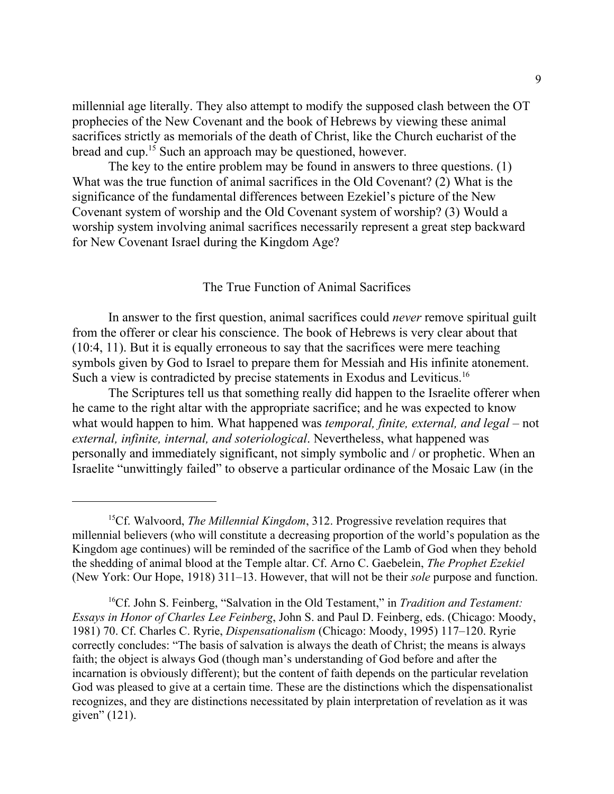millennial age literally. They also attempt to modify the supposed clash between the OT prophecies of the New Covenant and the book of Hebrews by viewing these animal sacrifices strictly as memorials of the death of Christ, like the Church eucharist of the bread and  $cup^{15}$  Such an approach may be questioned, however.

The key to the entire problem may be found in answers to three questions. (1) What was the true function of animal sacrifices in the Old Covenant? (2) What is the significance of the fundamental differences between Ezekiel's picture of the New Covenant system of worship and the Old Covenant system of worship? (3) Would a worship system involving animal sacrifices necessarily represent a great step backward for New Covenant Israel during the Kingdom Age?

#### The True Function of Animal Sacrifices

In answer to the first question, animal sacrifices could *never* remove spiritual guilt from the offerer or clear his conscience. The book of Hebrews is very clear about that (10:4, 11). But it is equally erroneous to say that the sacrifices were mere teaching symbols given by God to Israel to prepare them for Messiah and His infinite atonement. Such a view is contradicted by precise statements in Exodus and Leviticus.<sup>16</sup>

The Scriptures tell us that something really did happen to the Israelite offerer when he came to the right altar with the appropriate sacrifice; and he was expected to know what would happen to him. What happened was *temporal, finite, external, and legal* – not *external, infinite, internal, and soteriological*. Nevertheless, what happened was personally and immediately significant, not simply symbolic and / or prophetic. When an Israelite "unwittingly failed" to observe a particular ordinance of the Mosaic Law (in the

<sup>&</sup>lt;sup>15</sup>Cf. Walvoord, *The Millennial Kingdom*, 312. Progressive revelation requires that millennial believers (who will constitute a decreasing proportion of the world's population as the Kingdom age continues) will be reminded of the sacrifice of the Lamb of God when they behold the shedding of animal blood at the Temple altar. Cf. Arno C. Gaebelein, *The Prophet Ezekiel* (New York: Our Hope, 1918) 311–13. However, that will not be their *sole* purpose and function.

<sup>16</sup>Cf. John S. Feinberg, "Salvation in the Old Testament," in *Tradition and Testament: Essays in Honor of Charles Lee Feinberg*, John S. and Paul D. Feinberg, eds. (Chicago: Moody, 1981) 70. Cf. Charles C. Ryrie, *Dispensationalism* (Chicago: Moody, 1995) 117–120. Ryrie correctly concludes: "The basis of salvation is always the death of Christ; the means is always faith; the object is always God (though man's understanding of God before and after the incarnation is obviously different); but the content of faith depends on the particular revelation God was pleased to give at a certain time. These are the distinctions which the dispensationalist recognizes, and they are distinctions necessitated by plain interpretation of revelation as it was given" (121).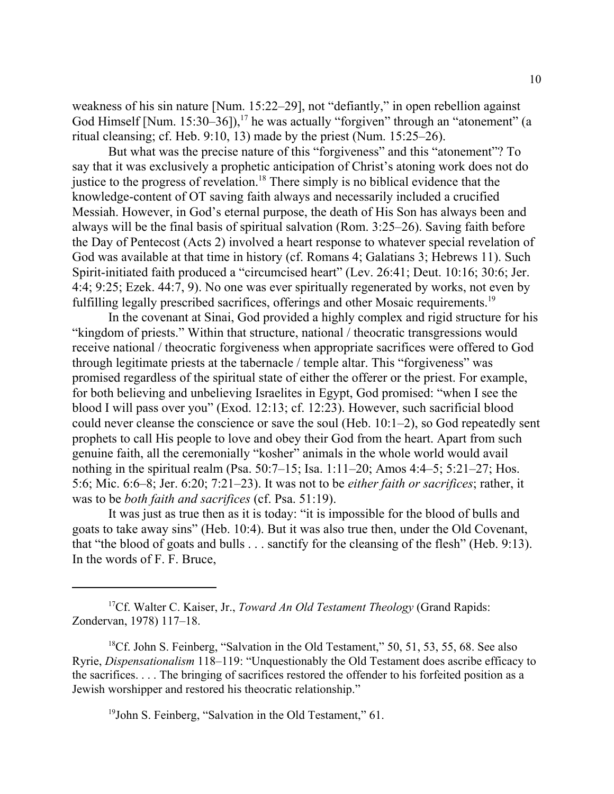weakness of his sin nature [Num. 15:22–29], not "defiantly," in open rebellion against God Himself [Num. 15:30–36]),<sup>17</sup> he was actually "forgiven" through an "atonement" (a ritual cleansing; cf. Heb. 9:10, 13) made by the priest (Num. 15:25–26).

But what was the precise nature of this "forgiveness" and this "atonement"? To say that it was exclusively a prophetic anticipation of Christ's atoning work does not do justice to the progress of revelation.<sup>18</sup> There simply is no biblical evidence that the knowledge-content of OT saving faith always and necessarily included a crucified Messiah. However, in God's eternal purpose, the death of His Son has always been and always will be the final basis of spiritual salvation (Rom. 3:25–26). Saving faith before the Day of Pentecost (Acts 2) involved a heart response to whatever special revelation of God was available at that time in history (cf. Romans 4; Galatians 3; Hebrews 11). Such Spirit-initiated faith produced a "circumcised heart" (Lev. 26:41; Deut. 10:16; 30:6; Jer. 4:4; 9:25; Ezek. 44:7, 9). No one was ever spiritually regenerated by works, not even by fulfilling legally prescribed sacrifices, offerings and other Mosaic requirements.<sup>19</sup>

In the covenant at Sinai, God provided a highly complex and rigid structure for his "kingdom of priests." Within that structure, national / theocratic transgressions would receive national / theocratic forgiveness when appropriate sacrifices were offered to God through legitimate priests at the tabernacle / temple altar. This "forgiveness" was promised regardless of the spiritual state of either the offerer or the priest. For example, for both believing and unbelieving Israelites in Egypt, God promised: "when I see the blood I will pass over you" (Exod. 12:13; cf. 12:23). However, such sacrificial blood could never cleanse the conscience or save the soul (Heb. 10:1–2), so God repeatedly sent prophets to call His people to love and obey their God from the heart. Apart from such genuine faith, all the ceremonially "kosher" animals in the whole world would avail nothing in the spiritual realm (Psa. 50:7–15; Isa. 1:11–20; Amos 4:4–5; 5:21–27; Hos. 5:6; Mic. 6:6–8; Jer. 6:20; 7:21–23). It was not to be *either faith or sacrifices*; rather, it was to be *both faith and sacrifices* (cf. Psa. 51:19).

It was just as true then as it is today: "it is impossible for the blood of bulls and goats to take away sins" (Heb. 10:4). But it was also true then, under the Old Covenant, that "the blood of goats and bulls . . . sanctify for the cleansing of the flesh" (Heb. 9:13). In the words of F. F. Bruce,

19John S. Feinberg, "Salvation in the Old Testament," 61.

<sup>17</sup>Cf. Walter C. Kaiser, Jr., *Toward An Old Testament Theology* (Grand Rapids: Zondervan, 1978) 117–18.

<sup>&</sup>lt;sup>18</sup>Cf. John S. Feinberg, "Salvation in the Old Testament," 50, 51, 53, 55, 68. See also Ryrie, *Dispensationalism* 118–119: "Unquestionably the Old Testament does ascribe efficacy to the sacrifices. . . . The bringing of sacrifices restored the offender to his forfeited position as a Jewish worshipper and restored his theocratic relationship."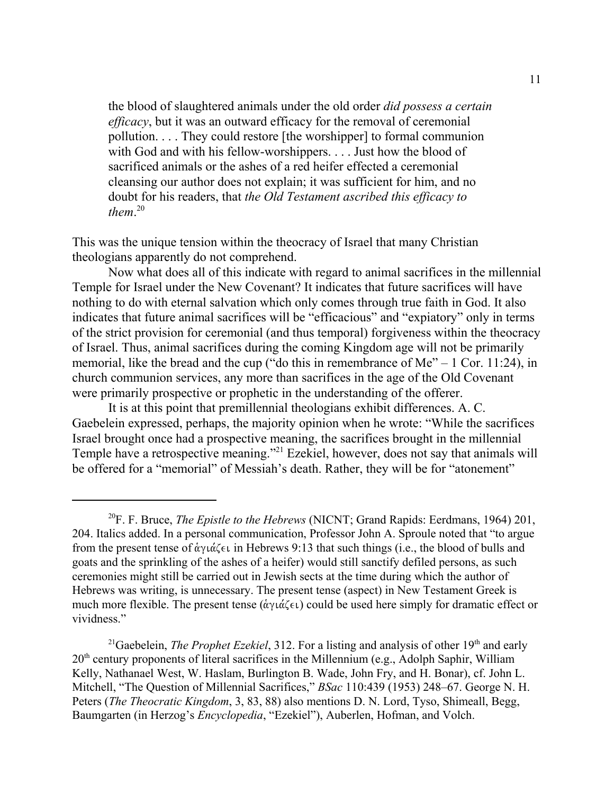the blood of slaughtered animals under the old order *did possess a certain efficacy*, but it was an outward efficacy for the removal of ceremonial pollution. . . . They could restore [the worshipper] to formal communion with God and with his fellow-worshippers. . . . Just how the blood of sacrificed animals or the ashes of a red heifer effected a ceremonial cleansing our author does not explain; it was sufficient for him, and no doubt for his readers, that *the Old Testament ascribed this efficacy to them*. 20

This was the unique tension within the theocracy of Israel that many Christian theologians apparently do not comprehend.

Now what does all of this indicate with regard to animal sacrifices in the millennial Temple for Israel under the New Covenant? It indicates that future sacrifices will have nothing to do with eternal salvation which only comes through true faith in God. It also indicates that future animal sacrifices will be "efficacious" and "expiatory" only in terms of the strict provision for ceremonial (and thus temporal) forgiveness within the theocracy of Israel. Thus, animal sacrifices during the coming Kingdom age will not be primarily memorial, like the bread and the cup ("do this in remembrance of Me" – 1 Cor. 11:24), in church communion services, any more than sacrifices in the age of the Old Covenant were primarily prospective or prophetic in the understanding of the offerer.

It is at this point that premillennial theologians exhibit differences. A. C. Gaebelein expressed, perhaps, the majority opinion when he wrote: "While the sacrifices Israel brought once had a prospective meaning, the sacrifices brought in the millennial Temple have a retrospective meaning."<sup>21</sup> Ezekiel, however, does not say that animals will be offered for a "memorial" of Messiah's death. Rather, they will be for "atonement"

<sup>20</sup>F. F. Bruce, *The Epistle to the Hebrews* (NICNT; Grand Rapids: Eerdmans, 1964) 201, 204. Italics added. In a personal communication, Professor John A. Sproule noted that "to argue from the present tense of  $\alpha y \alpha \zeta \in \mathfrak{i}$  in Hebrews 9:13 that such things (i.e., the blood of bulls and goats and the sprinkling of the ashes of a heifer) would still sanctify defiled persons, as such ceremonies might still be carried out in Jewish sects at the time during which the author of Hebrews was writing, is unnecessary. The present tense (aspect) in New Testament Greek is much more flexible. The present tense ( $\alpha y \alpha \zeta \epsilon \iota$ ) could be used here simply for dramatic effect or vividness."

<sup>&</sup>lt;sup>21</sup>Gaebelein, *The Prophet Ezekiel*, 312. For a listing and analysis of other 19<sup>th</sup> and early  $20<sup>th</sup>$  century proponents of literal sacrifices in the Millennium (e.g., Adolph Saphir, William Kelly, Nathanael West, W. Haslam, Burlington B. Wade, John Fry, and H. Bonar), cf. John L. Mitchell, "The Question of Millennial Sacrifices," *BSac* 110:439 (1953) 248–67. George N. H. Peters (*The Theocratic Kingdom*, 3, 83, 88) also mentions D. N. Lord, Tyso, Shimeall, Begg, Baumgarten (in Herzog's *Encyclopedia*, "Ezekiel"), Auberlen, Hofman, and Volch.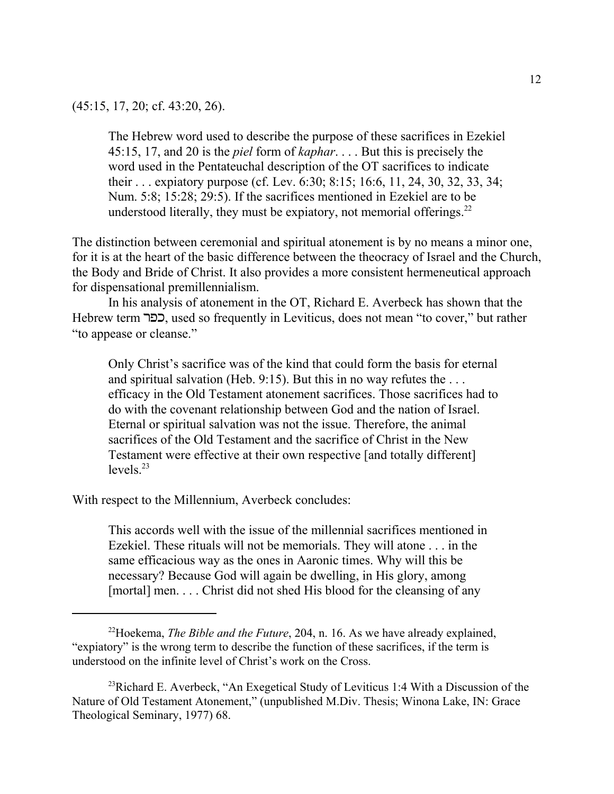(45:15, 17, 20; cf. 43:20, 26).

The Hebrew word used to describe the purpose of these sacrifices in Ezekiel 45:15, 17, and 20 is the *piel* form of *kaphar*. . . . But this is precisely the word used in the Pentateuchal description of the OT sacrifices to indicate their . . . expiatory purpose (cf. Lev. 6:30; 8:15; 16:6, 11, 24, 30, 32, 33, 34; Num. 5:8; 15:28; 29:5). If the sacrifices mentioned in Ezekiel are to be understood literally, they must be expiatory, not memorial offerings. $^{22}$ 

The distinction between ceremonial and spiritual atonement is by no means a minor one, for it is at the heart of the basic difference between the theocracy of Israel and the Church, the Body and Bride of Christ. It also provides a more consistent hermeneutical approach for dispensational premillennialism.

In his analysis of atonement in the OT, Richard E. Averbeck has shown that the Hebrew term כפר, used so frequently in Leviticus, does not mean "to cover," but rather "to appease or cleanse."

Only Christ's sacrifice was of the kind that could form the basis for eternal and spiritual salvation (Heb. 9:15). But this in no way refutes the . . . efficacy in the Old Testament atonement sacrifices. Those sacrifices had to do with the covenant relationship between God and the nation of Israel. Eternal or spiritual salvation was not the issue. Therefore, the animal sacrifices of the Old Testament and the sacrifice of Christ in the New Testament were effective at their own respective [and totally different]  $levels<sup>23</sup>$ 

With respect to the Millennium, Averbeck concludes:

This accords well with the issue of the millennial sacrifices mentioned in Ezekiel. These rituals will not be memorials. They will atone . . . in the same efficacious way as the ones in Aaronic times. Why will this be necessary? Because God will again be dwelling, in His glory, among [mortal] men. . . . Christ did not shed His blood for the cleansing of any

<sup>&</sup>lt;sup>22</sup>Hoekema, *The Bible and the Future*, 204, n. 16. As we have already explained, "expiatory" is the wrong term to describe the function of these sacrifices, if the term is understood on the infinite level of Christ's work on the Cross.

 $^{23}$ Richard E. Averbeck, "An Exegetical Study of Leviticus 1:4 With a Discussion of the Nature of Old Testament Atonement," (unpublished M.Div. Thesis; Winona Lake, IN: Grace Theological Seminary, 1977) 68.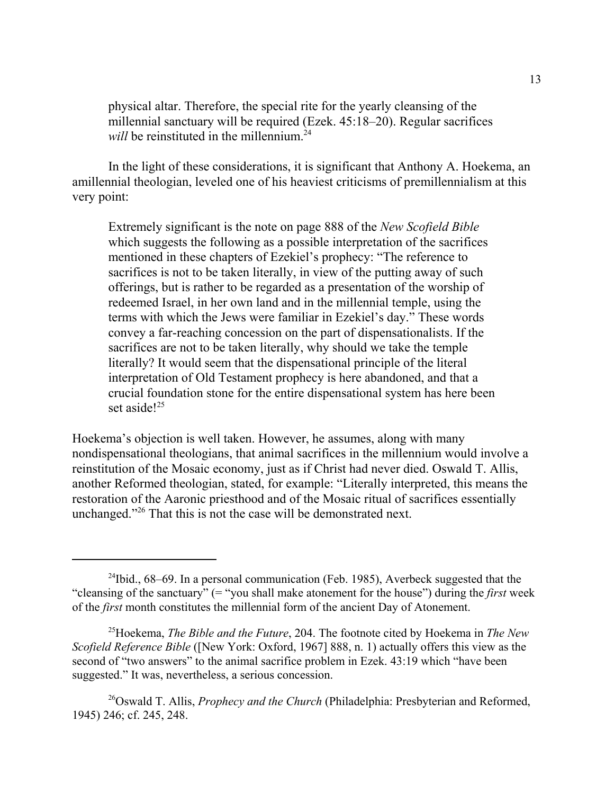physical altar. Therefore, the special rite for the yearly cleansing of the millennial sanctuary will be required (Ezek. 45:18–20). Regular sacrifices *will* be reinstituted in the millennium.<sup>24</sup>

In the light of these considerations, it is significant that Anthony A. Hoekema, an amillennial theologian, leveled one of his heaviest criticisms of premillennialism at this very point:

Extremely significant is the note on page 888 of the *New Scofield Bible* which suggests the following as a possible interpretation of the sacrifices mentioned in these chapters of Ezekiel's prophecy: "The reference to sacrifices is not to be taken literally, in view of the putting away of such offerings, but is rather to be regarded as a presentation of the worship of redeemed Israel, in her own land and in the millennial temple, using the terms with which the Jews were familiar in Ezekiel's day." These words convey a far-reaching concession on the part of dispensationalists. If the sacrifices are not to be taken literally, why should we take the temple literally? It would seem that the dispensational principle of the literal interpretation of Old Testament prophecy is here abandoned, and that a crucial foundation stone for the entire dispensational system has here been set aside! $^{25}$ 

Hoekema's objection is well taken. However, he assumes, along with many nondispensational theologians, that animal sacrifices in the millennium would involve a reinstitution of the Mosaic economy, just as if Christ had never died. Oswald T. Allis, another Reformed theologian, stated, for example: "Literally interpreted, this means the restoration of the Aaronic priesthood and of the Mosaic ritual of sacrifices essentially unchanged."26 That this is not the case will be demonstrated next.

<sup>26</sup>Oswald T. Allis, *Prophecy and the Church* (Philadelphia: Presbyterian and Reformed, 1945) 246; cf. 245, 248.

 $24$ Ibid., 68–69. In a personal communication (Feb. 1985), Averbeck suggested that the "cleansing of the sanctuary" (= "you shall make atonement for the house") during the *first* week of the *first* month constitutes the millennial form of the ancient Day of Atonement.

<sup>25</sup>Hoekema, *The Bible and the Future*, 204. The footnote cited by Hoekema in *The New Scofield Reference Bible* ([New York: Oxford, 1967] 888, n. 1) actually offers this view as the second of "two answers" to the animal sacrifice problem in Ezek. 43:19 which "have been suggested." It was, nevertheless, a serious concession.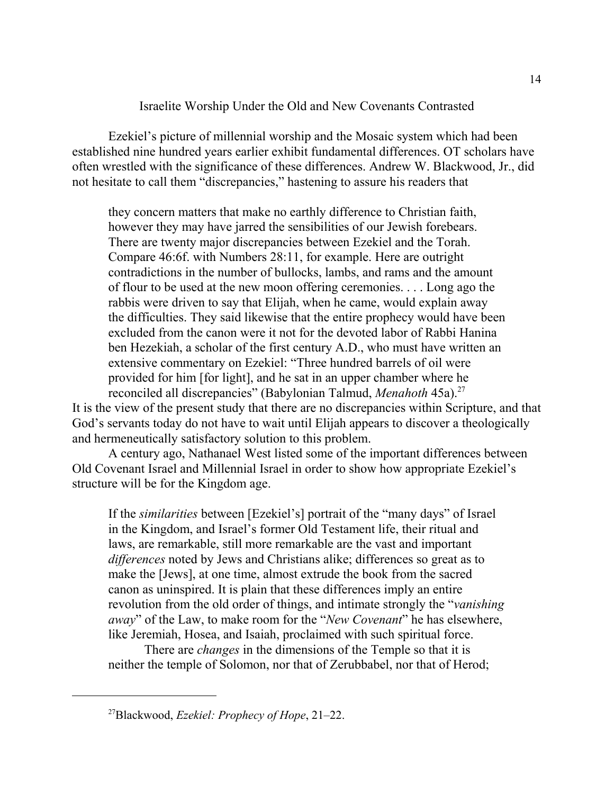# Israelite Worship Under the Old and New Covenants Contrasted

Ezekiel's picture of millennial worship and the Mosaic system which had been established nine hundred years earlier exhibit fundamental differences. OT scholars have often wrestled with the significance of these differences. Andrew W. Blackwood, Jr., did not hesitate to call them "discrepancies," hastening to assure his readers that

they concern matters that make no earthly difference to Christian faith, however they may have jarred the sensibilities of our Jewish forebears. There are twenty major discrepancies between Ezekiel and the Torah. Compare 46:6f. with Numbers 28:11, for example. Here are outright contradictions in the number of bullocks, lambs, and rams and the amount of flour to be used at the new moon offering ceremonies. . . . Long ago the rabbis were driven to say that Elijah, when he came, would explain away the difficulties. They said likewise that the entire prophecy would have been excluded from the canon were it not for the devoted labor of Rabbi Hanina ben Hezekiah, a scholar of the first century A.D., who must have written an extensive commentary on Ezekiel: "Three hundred barrels of oil were provided for him [for light], and he sat in an upper chamber where he reconciled all discrepancies" (Babylonian Talmud, *Menahoth* 45a).<sup>27</sup> It is the view of the present study that there are no discrepancies within Scripture, and that God's servants today do not have to wait until Elijah appears to discover a theologically

and hermeneutically satisfactory solution to this problem. A century ago, Nathanael West listed some of the important differences between

Old Covenant Israel and Millennial Israel in order to show how appropriate Ezekiel's structure will be for the Kingdom age.

If the *similarities* between [Ezekiel's] portrait of the "many days" of Israel in the Kingdom, and Israel's former Old Testament life, their ritual and laws, are remarkable, still more remarkable are the vast and important *differences* noted by Jews and Christians alike; differences so great as to make the [Jews], at one time, almost extrude the book from the sacred canon as uninspired. It is plain that these differences imply an entire revolution from the old order of things, and intimate strongly the "*vanishing away*" of the Law, to make room for the "*New Covenant*" he has elsewhere, like Jeremiah, Hosea, and Isaiah, proclaimed with such spiritual force.

There are *changes* in the dimensions of the Temple so that it is neither the temple of Solomon, nor that of Zerubbabel, nor that of Herod;

<sup>27</sup>Blackwood, *Ezekiel: Prophecy of Hope*, 21–22.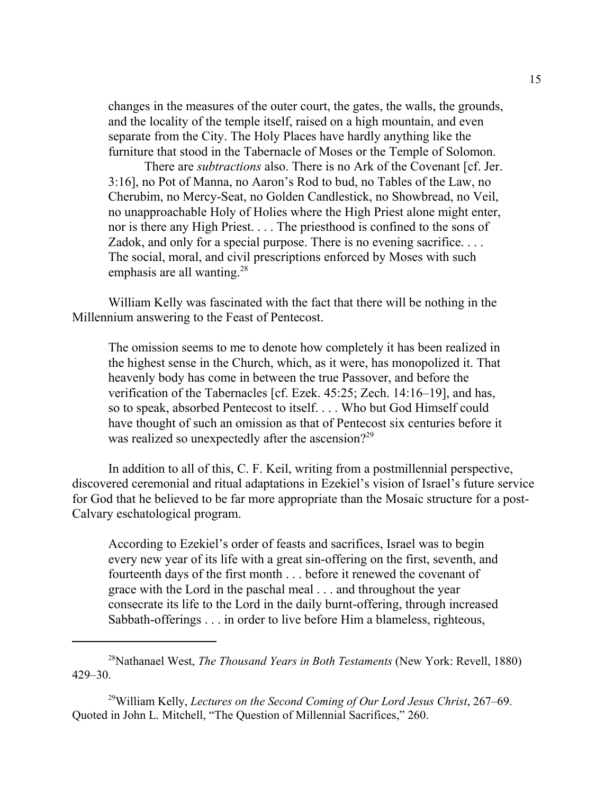changes in the measures of the outer court, the gates, the walls, the grounds, and the locality of the temple itself, raised on a high mountain, and even separate from the City. The Holy Places have hardly anything like the furniture that stood in the Tabernacle of Moses or the Temple of Solomon.

There are *subtractions* also. There is no Ark of the Covenant [cf. Jer. 3:16], no Pot of Manna, no Aaron's Rod to bud, no Tables of the Law, no Cherubim, no Mercy-Seat, no Golden Candlestick, no Showbread, no Veil, no unapproachable Holy of Holies where the High Priest alone might enter, nor is there any High Priest. . . . The priesthood is confined to the sons of Zadok, and only for a special purpose. There is no evening sacrifice. ... The social, moral, and civil prescriptions enforced by Moses with such emphasis are all wanting.<sup>28</sup>

William Kelly was fascinated with the fact that there will be nothing in the Millennium answering to the Feast of Pentecost.

The omission seems to me to denote how completely it has been realized in the highest sense in the Church, which, as it were, has monopolized it. That heavenly body has come in between the true Passover, and before the verification of the Tabernacles [cf. Ezek. 45:25; Zech. 14:16–19], and has, so to speak, absorbed Pentecost to itself. . . . Who but God Himself could have thought of such an omission as that of Pentecost six centuries before it was realized so unexpectedly after the ascension?<sup>29</sup>

In addition to all of this, C. F. Keil, writing from a postmillennial perspective, discovered ceremonial and ritual adaptations in Ezekiel's vision of Israel's future service for God that he believed to be far more appropriate than the Mosaic structure for a post-Calvary eschatological program.

According to Ezekiel's order of feasts and sacrifices, Israel was to begin every new year of its life with a great sin-offering on the first, seventh, and fourteenth days of the first month . . . before it renewed the covenant of grace with the Lord in the paschal meal . . . and throughout the year consecrate its life to the Lord in the daily burnt-offering, through increased Sabbath-offerings . . . in order to live before Him a blameless, righteous,

<sup>28</sup>Nathanael West, *The Thousand Years in Both Testaments* (New York: Revell, 1880) 429–30.

<sup>29</sup>William Kelly, *Lectures on the Second Coming of Our Lord Jesus Christ*, 267–69. Quoted in John L. Mitchell, "The Question of Millennial Sacrifices," 260.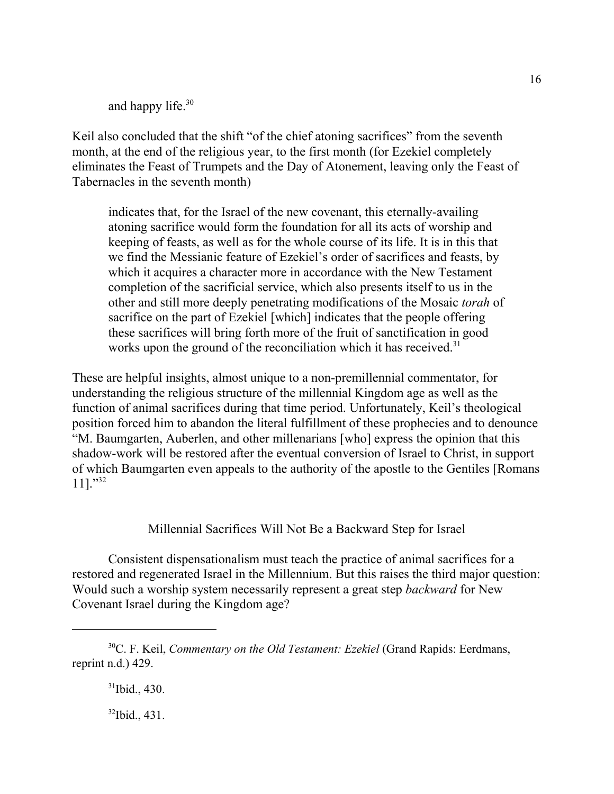and happy life. $30$ 

Keil also concluded that the shift "of the chief atoning sacrifices" from the seventh month, at the end of the religious year, to the first month (for Ezekiel completely eliminates the Feast of Trumpets and the Day of Atonement, leaving only the Feast of Tabernacles in the seventh month)

indicates that, for the Israel of the new covenant, this eternally-availing atoning sacrifice would form the foundation for all its acts of worship and keeping of feasts, as well as for the whole course of its life. It is in this that we find the Messianic feature of Ezekiel's order of sacrifices and feasts, by which it acquires a character more in accordance with the New Testament completion of the sacrificial service, which also presents itself to us in the other and still more deeply penetrating modifications of the Mosaic *torah* of sacrifice on the part of Ezekiel [which] indicates that the people offering these sacrifices will bring forth more of the fruit of sanctification in good works upon the ground of the reconciliation which it has received. $31$ 

These are helpful insights, almost unique to a non-premillennial commentator, for understanding the religious structure of the millennial Kingdom age as well as the function of animal sacrifices during that time period. Unfortunately, Keil's theological position forced him to abandon the literal fulfillment of these prophecies and to denounce "M. Baumgarten, Auberlen, and other millenarians [who] express the opinion that this shadow-work will be restored after the eventual conversion of Israel to Christ, in support of which Baumgarten even appeals to the authority of the apostle to the Gentiles [Romans 11]."32

## Millennial Sacrifices Will Not Be a Backward Step for Israel

Consistent dispensationalism must teach the practice of animal sacrifices for a restored and regenerated Israel in the Millennium. But this raises the third major question: Would such a worship system necessarily represent a great step *backward* for New Covenant Israel during the Kingdom age?

<sup>32</sup>Ibid., 431.

<sup>30</sup>C. F. Keil, *Commentary on the Old Testament: Ezekiel* (Grand Rapids: Eerdmans, reprint n.d.) 429.

 $31$ Ibid., 430.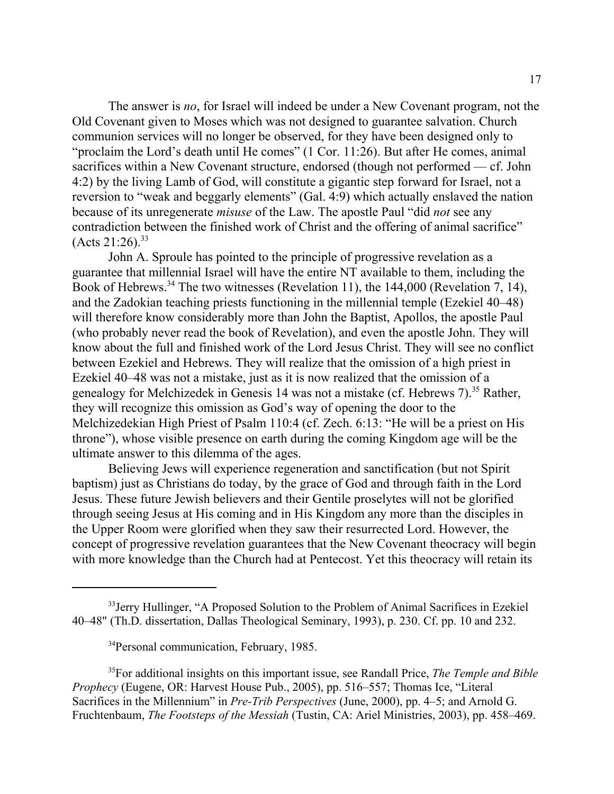The answer is *no*, for Israel will indeed be under a New Covenant program, not the Old Covenant given to Moses which was not designed to guarantee salvation. Church communion services will no longer be observed, for they have been designed only to "proclaim the Lord's death until He comes" (1 Cor. 11:26). But after He comes, animal sacrifices within a New Covenant structure, endorsed (though not performed — cf. John 4:2) by the living Lamb of God, will constitute a gigantic step forward for Israel, not a reversion to "weak and beggarly elements" (Gal. 4:9) which actually enslaved the nation because of its unregenerate *misuse* of the Law. The apostle Paul "did *not* see any contradiction between the finished work of Christ and the offering of animal sacrifice"  $(Acts 21:26).^{33}$ 

John A. Sproule has pointed to the principle of progressive revelation as a guarantee that millennial Israel will have the entire NT available to them, including the Book of Hebrews.<sup>34</sup> The two witnesses (Revelation 11), the 144,000 (Revelation 7, 14), and the Zadokian teaching priests functioning in the millennial temple (Ezekiel 40–48) will therefore know considerably more than John the Baptist, Apollos, the apostle Paul (who probably never read the book of Revelation), and even the apostle John. They will know about the full and finished work of the Lord Jesus Christ. They will see no conflict between Ezekiel and Hebrews. They will realize that the omission of a high priest in Ezekiel 40–48 was not a mistake, just as it is now realized that the omission of a genealogy for Melchizedek in Genesis 14 was not a mistake (cf. Hebrews 7).<sup>35</sup> Rather, they will recognize this omission as God's way of opening the door to the Melchizedekian High Priest of Psalm 110:4 (cf. Zech. 6:13: "He will be a priest on His throne"), whose visible presence on earth during the coming Kingdom age will be the ultimate answer to this dilemma of the ages.

Believing Jews will experience regeneration and sanctification (but not Spirit baptism) just as Christians do today, by the grace of God and through faith in the Lord Jesus. These future Jewish believers and their Gentile proselytes will not be glorified through seeing Jesus at His coming and in His Kingdom any more than the disciples in the Upper Room were glorified when they saw their resurrected Lord. However, the concept of progressive revelation guarantees that the New Covenant theocracy will begin with more knowledge than the Church had at Pentecost. Yet this theocracy will retain its

<sup>&</sup>lt;sup>33</sup> Jerry Hullinger, "A Proposed Solution to the Problem of Animal Sacrifices in Ezekiel 40–48" (Th.D. dissertation, Dallas Theological Seminary, 1993), p. 230. Cf. pp. 10 and 232.

<sup>34</sup>Personal communication, February, 1985.

<sup>35</sup>For additional insights on this important issue, see Randall Price, *The Temple and Bible Prophecy* (Eugene, OR: Harvest House Pub., 2005), pp. 516–557; Thomas Ice, "Literal Sacrifices in the Millennium" in *Pre-Trib Perspectives* (June, 2000), pp. 4–5; and Arnold G. Fruchtenbaum, *The Footsteps of the Messiah* (Tustin, CA: Ariel Ministries, 2003), pp. 458–469.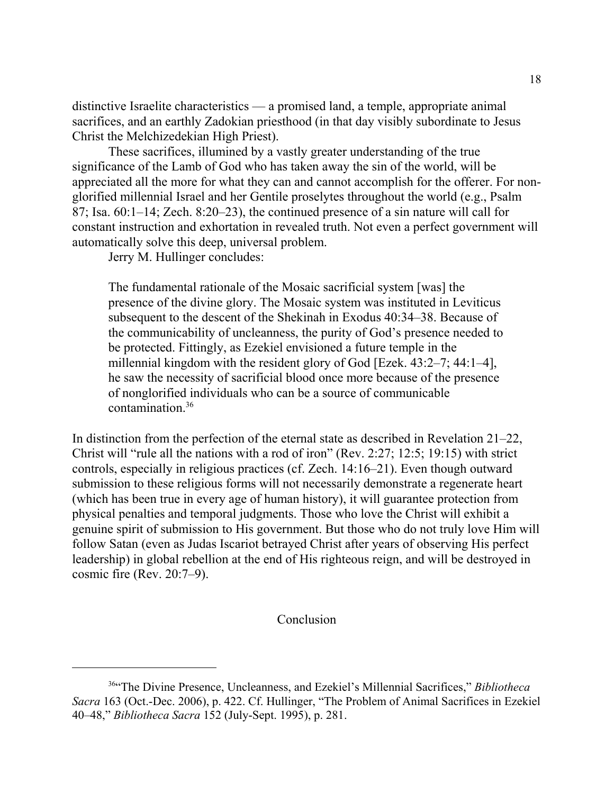distinctive Israelite characteristics — a promised land, a temple, appropriate animal sacrifices, and an earthly Zadokian priesthood (in that day visibly subordinate to Jesus Christ the Melchizedekian High Priest).

These sacrifices, illumined by a vastly greater understanding of the true significance of the Lamb of God who has taken away the sin of the world, will be appreciated all the more for what they can and cannot accomplish for the offerer. For nonglorified millennial Israel and her Gentile proselytes throughout the world (e.g., Psalm 87; Isa. 60:1–14; Zech. 8:20–23), the continued presence of a sin nature will call for constant instruction and exhortation in revealed truth. Not even a perfect government will automatically solve this deep, universal problem.

Jerry M. Hullinger concludes:

The fundamental rationale of the Mosaic sacrificial system [was] the presence of the divine glory. The Mosaic system was instituted in Leviticus subsequent to the descent of the Shekinah in Exodus 40:34–38. Because of the communicability of uncleanness, the purity of God's presence needed to be protected. Fittingly, as Ezekiel envisioned a future temple in the millennial kingdom with the resident glory of God [Ezek. 43:2–7; 44:1–4], he saw the necessity of sacrificial blood once more because of the presence of nonglorified individuals who can be a source of communicable contamination<sup>36</sup>

In distinction from the perfection of the eternal state as described in Revelation 21–22, Christ will "rule all the nations with a rod of iron" (Rev. 2:27; 12:5; 19:15) with strict controls, especially in religious practices (cf. Zech. 14:16–21). Even though outward submission to these religious forms will not necessarily demonstrate a regenerate heart (which has been true in every age of human history), it will guarantee protection from physical penalties and temporal judgments. Those who love the Christ will exhibit a genuine spirit of submission to His government. But those who do not truly love Him will follow Satan (even as Judas Iscariot betrayed Christ after years of observing His perfect leadership) in global rebellion at the end of His righteous reign, and will be destroyed in cosmic fire (Rev. 20:7–9).

Conclusion

<sup>36&</sup>quot;The Divine Presence, Uncleanness, and Ezekiel's Millennial Sacrifices," *Bibliotheca Sacra* 163 (Oct.-Dec. 2006), p. 422. Cf. Hullinger, "The Problem of Animal Sacrifices in Ezekiel 40–48," *Bibliotheca Sacra* 152 (July-Sept. 1995), p. 281.